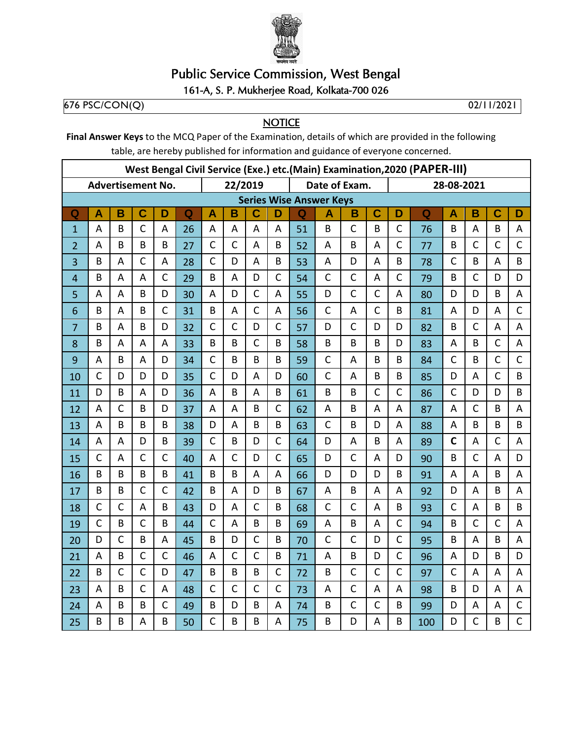

## **Public Service Commission, West Bengal**

## 161-A, S. P. Mukherjee Road, Kolkata-700 026

676 PSC/CON(Q)

02/11/2021

**NOTICE** 

Final Answer Keys to the MCQ Paper of the Examination, details of which are provided in the following table, are hereby published for information and guidance of everyone concerned.

| West Bengal Civil Service (Exe.) etc.(Main) Examination, 2020 (PAPER-III) |              |                |                |              |             |              |              |                |              |    |                                |                         |              |              |            |              |                           |              |                |  |  |
|---------------------------------------------------------------------------|--------------|----------------|----------------|--------------|-------------|--------------|--------------|----------------|--------------|----|--------------------------------|-------------------------|--------------|--------------|------------|--------------|---------------------------|--------------|----------------|--|--|
| <b>Advertisement No.</b>                                                  |              |                |                |              |             |              | 22/2019      |                |              |    | Date of Exam.                  |                         |              |              | 28-08-2021 |              |                           |              |                |  |  |
|                                                                           |              |                |                |              |             |              |              |                |              |    | <b>Series Wise Answer Keys</b> |                         |              |              |            |              |                           |              |                |  |  |
| Q                                                                         | A            | B              | $\mathbf C$    | D            | $\mathbf Q$ | A            | B            | Ć              | D            | Q  | Α                              | B                       | C            | D            | Q          | A            | B                         | C            | D              |  |  |
| $\overline{1}$                                                            | A            | B              | $\mathsf{C}$   | A            | 26          | A            | A            | A              | A            | 51 | B                              | $\mathsf{C}$            | B            | $\mathsf{C}$ | 76         | B            | A                         | B            | A              |  |  |
| $\overline{2}$                                                            | A            | B              | B              | B            | 27          | $\mathsf{C}$ | $\mathsf{C}$ | A              | B            | 52 | A                              | B                       | A            | $\mathsf{C}$ | 77         | B            | $\mathsf C$               | C            | $\mathsf{C}$   |  |  |
| 3                                                                         | B            | A              | $\mathsf{C}$   | A            | 28          | $\mathsf{C}$ | D            | A              | B            | 53 | A                              | D                       | A            | B            | 78         | $\mathsf{C}$ | B                         | A            | B              |  |  |
| 4                                                                         | B            | A              | $\overline{A}$ | $\mathsf{C}$ | 29          | B            | A            | D              | $\mathsf{C}$ | 54 | $\mathsf{C}$                   | $\mathsf{C}$            | A            | $\mathsf{C}$ | 79         | B            | $\mathsf C$               | D            | D              |  |  |
| 5                                                                         | A            | A              | B              | D            | 30          | A            | D            | $\mathsf{C}$   | A            | 55 | D                              | $\mathsf{C}$            | $\mathsf{C}$ | A            | 80         | D            | D                         | B            | A              |  |  |
| 6                                                                         | B            | A              | B              | $\mathsf{C}$ | 31          | B            | A            | $\overline{C}$ | A            | 56 | $\mathsf{C}$                   | $\overline{\mathsf{A}}$ | $\mathsf{C}$ | B            | 81         | A            | D                         | A            | $\mathsf{C}$   |  |  |
| $\overline{7}$                                                            | B            | A              | B              | D            | 32          | $\mathsf{C}$ | $\mathsf{C}$ | D              | $\mathsf{C}$ | 57 | D                              | $\mathsf{C}$            | D            | D            | 82         | B            | $\mathsf{C}$              | A            | A              |  |  |
| 8                                                                         | B            | A              | A              | A            | 33          | B            | B            | $\mathsf{C}$   | B            | 58 | B                              | B                       | B            | D            | 83         | A            | B                         | $\mathsf{C}$ | A              |  |  |
| 9                                                                         | A            | B              | A              | D            | 34          | $\mathsf{C}$ | B            | B              | B            | 59 | $\mathsf{C}$                   | A                       | B            | B            | 84         | $\mathsf{C}$ | B                         | $\mathsf{C}$ | $\mathsf{C}$   |  |  |
| 10                                                                        | $\mathsf{C}$ | D              | D              | D            | 35          | $\mathsf C$  | D            | A              | D            | 60 | $\mathsf{C}$                   | A                       | B            | B            | 85         | D            | A                         | $\mathsf{C}$ | B              |  |  |
| 11                                                                        | D            | B              | A              | D            | 36          | A            | B            | A              | B            | 61 | B                              | B                       | $\mathsf{C}$ | $\mathsf{C}$ | 86         | $\mathsf{C}$ | D                         | D            | B              |  |  |
| 12                                                                        | A            | $\overline{C}$ | B              | D            | 37          | A            | A            | B              | $\mathsf{C}$ | 62 | A                              | B                       | A            | A            | 87         | A            | $\mathsf{C}$              | B            | A              |  |  |
| 13                                                                        | A            | B              | B              | B            | 38          | D            | A            | B              | B            | 63 | $\mathsf{C}$                   | B                       | D            | A            | 88         | A            | B                         | B            | B              |  |  |
| 14                                                                        | A            | $\sf A$        | D              | B            | 39          | $\mathsf{C}$ | B            | D              | $\mathsf{C}$ | 64 | D                              | $\overline{\mathsf{A}}$ | B            | A            | 89         | $\mathbf C$  | $\boldsymbol{\mathsf{A}}$ | $\mathsf{C}$ | A              |  |  |
| 15                                                                        | $\mathsf{C}$ | A              | $\mathsf{C}$   | $\mathsf{C}$ | 40          | A            | $\mathsf{C}$ | D              | $\mathsf{C}$ | 65 | D                              | $\mathsf{C}$            | A            | D            | 90         | B            | $\mathsf{C}$              | A            | D              |  |  |
| 16                                                                        | B            | B              | B              | B            | 41          | B            | B            | A              | A            | 66 | D                              | D                       | D            | B            | 91         | A            | A                         | B            | A              |  |  |
| 17                                                                        | B            | B              | $\mathsf{C}$   | $\mathsf{C}$ | 42          | B            | A            | D              | B            | 67 | A                              | B                       | A            | A            | 92         | D            | A                         | B            | $\overline{A}$ |  |  |
| 18                                                                        | $\mathsf C$  | $\mathsf{C}$   | A              | B            | 43          | D            | A            | $\mathsf{C}$   | B            | 68 | $\mathsf C$                    | $\mathsf{C}$            | A            | B            | 93         | $\mathsf{C}$ | A                         | B            | B              |  |  |
| 19                                                                        | $\mathsf{C}$ | B              | $\overline{C}$ | B            | 44          | $\mathsf{C}$ | A            | B              | B            | 69 | A                              | B                       | A            | $\mathsf{C}$ | 94         | B            | $\mathsf{C}$              | $\mathsf{C}$ | A              |  |  |
| 20                                                                        | D            | $\mathsf{C}$   | B              | A            | 45          | B            | D            | $\mathsf{C}$   | B            | 70 | $\mathsf{C}$                   | $\mathsf{C}$            | D            | $\mathsf{C}$ | 95         | B            | A                         | B            | A              |  |  |
| 21                                                                        | A            | B              | $\mathsf{C}$   | $\mathsf{C}$ | 46          | A            | $\mathsf{C}$ | $\mathsf{C}$   | B            | 71 | A                              | B                       | D            | $\mathsf{C}$ | 96         | A            | D                         | B            | D              |  |  |
| 22                                                                        | B            | $\mathsf{C}$   | $\mathsf{C}$   | D            | 47          | B            | B            | B              | $\mathsf{C}$ | 72 | B                              | $\mathsf{C}$            | $\mathsf{C}$ | $\mathsf{C}$ | 97         | $\mathsf{C}$ | A                         | A            | A              |  |  |
| 23                                                                        | A            | B              | $\mathsf{C}$   | A            | 48          | $\mathsf{C}$ | $\mathsf{C}$ | $\mathsf{C}$   | $\mathsf{C}$ | 73 | A                              | $\mathsf{C}$            | A            | A            | 98         | B            | D                         | A            | A              |  |  |
| 24                                                                        | A            | B              | B              | $\mathsf{C}$ | 49          | B            | D            | B              | A            | 74 | B                              | $\mathsf{C}$            | $\mathsf{C}$ | B            | 99         | D            | A                         | A            | $\mathsf C$    |  |  |
| 25                                                                        | B            | B              | A              | B            | 50          | $\mathsf{C}$ | B            | B              | A            | 75 | B                              | D                       | A            | B            | 100        | D            | $\mathsf{C}$              | B            | $\mathsf{C}$   |  |  |